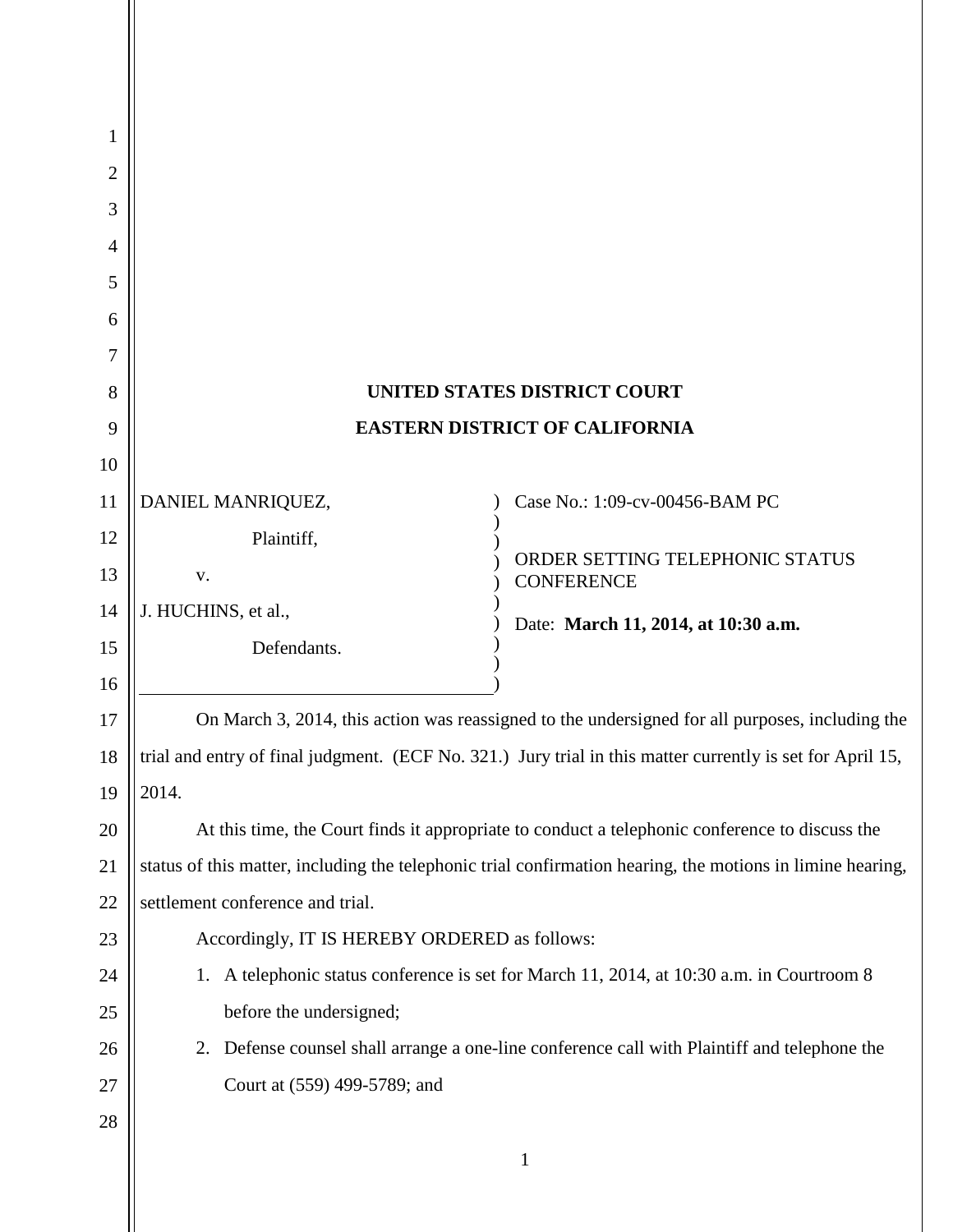| 1              |                                                                                                            |                                                                                           |
|----------------|------------------------------------------------------------------------------------------------------------|-------------------------------------------------------------------------------------------|
| $\overline{2}$ |                                                                                                            |                                                                                           |
| 3              |                                                                                                            |                                                                                           |
| $\overline{4}$ |                                                                                                            |                                                                                           |
| 5              |                                                                                                            |                                                                                           |
| 6              |                                                                                                            |                                                                                           |
| 7              |                                                                                                            |                                                                                           |
| 8              | <b>UNITED STATES DISTRICT COURT</b>                                                                        |                                                                                           |
| 9              | <b>EASTERN DISTRICT OF CALIFORNIA</b>                                                                      |                                                                                           |
| 10             |                                                                                                            |                                                                                           |
| 11             | DANIEL MANRIQUEZ,                                                                                          | Case No.: 1:09-cv-00456-BAM PC                                                            |
| 12             | Plaintiff,                                                                                                 | ORDER SETTING TELEPHONIC STATUS                                                           |
| 13             | V.                                                                                                         | <b>CONFERENCE</b>                                                                         |
| 14             | J. HUCHINS, et al.,                                                                                        | Date: March 11, 2014, at 10:30 a.m.                                                       |
| 15             | Defendants.                                                                                                |                                                                                           |
| 16             |                                                                                                            |                                                                                           |
| 17             | On March 3, 2014, this action was reassigned to the undersigned for all purposes, including the            |                                                                                           |
| 18             | trial and entry of final judgment. (ECF No. 321.) Jury trial in this matter currently is set for April 15, |                                                                                           |
| 19             | 2014.                                                                                                      |                                                                                           |
| 20             | At this time, the Court finds it appropriate to conduct a telephonic conference to discuss the             |                                                                                           |
| 21             | status of this matter, including the telephonic trial confirmation hearing, the motions in limine hearing, |                                                                                           |
| 22             | settlement conference and trial.                                                                           |                                                                                           |
| 23             | Accordingly, IT IS HEREBY ORDERED as follows:                                                              |                                                                                           |
| 24             |                                                                                                            | 1. A telephonic status conference is set for March 11, 2014, at 10:30 a.m. in Courtroom 8 |
| 25             | before the undersigned;                                                                                    |                                                                                           |
| 26             | Defense counsel shall arrange a one-line conference call with Plaintiff and telephone the<br>2.            |                                                                                           |
| 27             | Court at (559) 499-5789; and                                                                               |                                                                                           |
| 28             |                                                                                                            |                                                                                           |
|                |                                                                                                            | $\mathbf{1}$                                                                              |